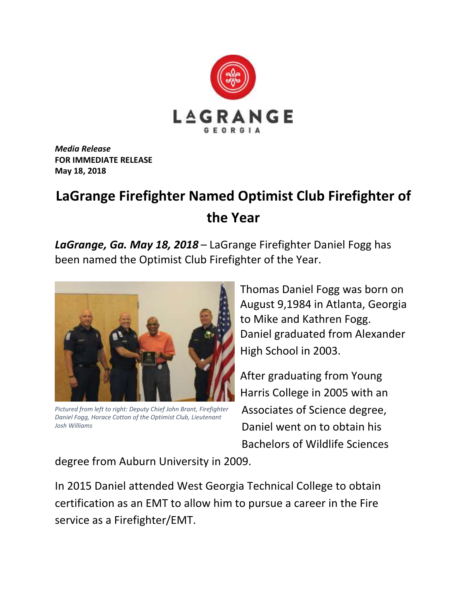

*Media Release* **FOR IMMEDIATE RELEASE May 18, 2018**

## **LaGrange Firefighter Named Optimist Club Firefighter of the Year**

*LaGrange, Ga. May 18, 2018* – LaGrange Firefighter Daniel Fogg has been named the Optimist Club Firefighter of the Year.



*Pictured from left to right: Deputy Chief John Brant, Firefighter Daniel Fogg, Horace Cotton of the Optimist Club, Lieutenant Josh Williams*

Thomas Daniel Fogg was born on August 9,1984 in Atlanta, Georgia to Mike and Kathren Fogg. Daniel graduated from Alexander High School in 2003.

After graduating from Young Harris College in 2005 with an Associates of Science degree, Daniel went on to obtain his Bachelors of Wildlife Sciences

degree from Auburn University in 2009.

In 2015 Daniel attended West Georgia Technical College to obtain certification as an EMT to allow him to pursue a career in the Fire service as a Firefighter/EMT.